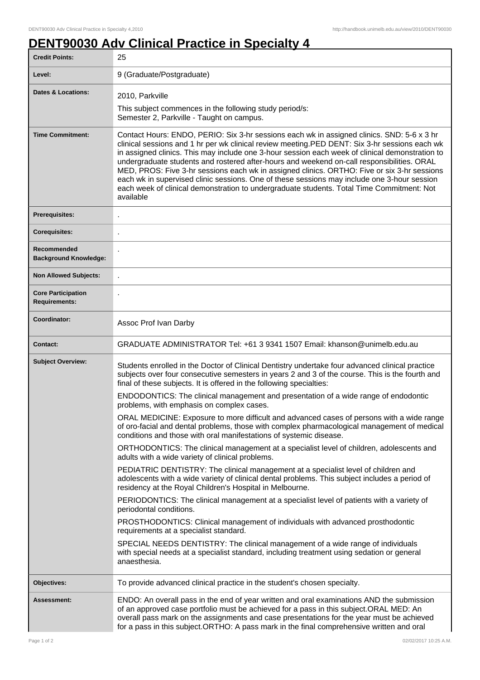## **DENT90030 Adv Clinical Practice in Specialty 4**

| <b>Credit Points:</b>                       | 25                                                                                                                                                                                                                                                                                                                                                                                                                                                                                                                                                                                                                                                                                                    |
|---------------------------------------------|-------------------------------------------------------------------------------------------------------------------------------------------------------------------------------------------------------------------------------------------------------------------------------------------------------------------------------------------------------------------------------------------------------------------------------------------------------------------------------------------------------------------------------------------------------------------------------------------------------------------------------------------------------------------------------------------------------|
| Level:                                      | 9 (Graduate/Postgraduate)                                                                                                                                                                                                                                                                                                                                                                                                                                                                                                                                                                                                                                                                             |
| Dates & Locations:                          | 2010, Parkville                                                                                                                                                                                                                                                                                                                                                                                                                                                                                                                                                                                                                                                                                       |
|                                             | This subject commences in the following study period/s:<br>Semester 2, Parkville - Taught on campus.                                                                                                                                                                                                                                                                                                                                                                                                                                                                                                                                                                                                  |
| <b>Time Commitment:</b>                     | Contact Hours: ENDO, PERIO: Six 3-hr sessions each wk in assigned clinics. SND: 5-6 x 3 hr<br>clinical sessions and 1 hr per wk clinical review meeting. PED DENT: Six 3-hr sessions each wk<br>in assigned clinics. This may include one 3-hour session each week of clinical demonstration to<br>undergraduate students and rostered after-hours and weekend on-call responsibilities. ORAL<br>MED, PROS: Five 3-hr sessions each wk in assigned clinics. ORTHO: Five or six 3-hr sessions<br>each wk in supervised clinic sessions. One of these sessions may include one 3-hour session<br>each week of clinical demonstration to undergraduate students. Total Time Commitment: Not<br>available |
| <b>Prerequisites:</b>                       |                                                                                                                                                                                                                                                                                                                                                                                                                                                                                                                                                                                                                                                                                                       |
| <b>Corequisites:</b>                        |                                                                                                                                                                                                                                                                                                                                                                                                                                                                                                                                                                                                                                                                                                       |
| Recommended<br><b>Background Knowledge:</b> |                                                                                                                                                                                                                                                                                                                                                                                                                                                                                                                                                                                                                                                                                                       |
| <b>Non Allowed Subjects:</b>                | ä,                                                                                                                                                                                                                                                                                                                                                                                                                                                                                                                                                                                                                                                                                                    |
| <b>Core Participation</b><br>Requirements:  |                                                                                                                                                                                                                                                                                                                                                                                                                                                                                                                                                                                                                                                                                                       |
| Coordinator:                                | Assoc Prof Ivan Darby                                                                                                                                                                                                                                                                                                                                                                                                                                                                                                                                                                                                                                                                                 |
| <b>Contact:</b>                             | GRADUATE ADMINISTRATOR Tel: +61 3 9341 1507 Email: khanson@unimelb.edu.au                                                                                                                                                                                                                                                                                                                                                                                                                                                                                                                                                                                                                             |
| <b>Subject Overview:</b>                    | Students enrolled in the Doctor of Clinical Dentistry undertake four advanced clinical practice<br>subjects over four consecutive semesters in years 2 and 3 of the course. This is the fourth and<br>final of these subjects. It is offered in the following specialties:<br>ENDODONTICS: The clinical management and presentation of a wide range of endodontic<br>problems, with emphasis on complex cases.                                                                                                                                                                                                                                                                                        |
|                                             | ORAL MEDICINE: Exposure to more difficult and advanced cases of persons with a wide range<br>of oro-facial and dental problems, those with complex pharmacological management of medical<br>conditions and those with oral manifestations of systemic disease.                                                                                                                                                                                                                                                                                                                                                                                                                                        |
|                                             | ORTHODONTICS: The clinical management at a specialist level of children, adolescents and<br>adults with a wide variety of clinical problems.                                                                                                                                                                                                                                                                                                                                                                                                                                                                                                                                                          |
|                                             | PEDIATRIC DENTISTRY: The clinical management at a specialist level of children and<br>adolescents with a wide variety of clinical dental problems. This subject includes a period of<br>residency at the Royal Children's Hospital in Melbourne.                                                                                                                                                                                                                                                                                                                                                                                                                                                      |
|                                             | PERIODONTICS: The clinical management at a specialist level of patients with a variety of<br>periodontal conditions.                                                                                                                                                                                                                                                                                                                                                                                                                                                                                                                                                                                  |
|                                             | PROSTHODONTICS: Clinical management of individuals with advanced prosthodontic<br>requirements at a specialist standard.                                                                                                                                                                                                                                                                                                                                                                                                                                                                                                                                                                              |
|                                             | SPECIAL NEEDS DENTISTRY: The clinical management of a wide range of individuals<br>with special needs at a specialist standard, including treatment using sedation or general<br>anaesthesia.                                                                                                                                                                                                                                                                                                                                                                                                                                                                                                         |
| Objectives:                                 | To provide advanced clinical practice in the student's chosen specialty.                                                                                                                                                                                                                                                                                                                                                                                                                                                                                                                                                                                                                              |
| <b>Assessment:</b>                          | ENDO: An overall pass in the end of year written and oral examinations AND the submission<br>of an approved case portfolio must be achieved for a pass in this subject.ORAL MED: An<br>overall pass mark on the assignments and case presentations for the year must be achieved<br>for a pass in this subject.ORTHO: A pass mark in the final comprehensive written and oral                                                                                                                                                                                                                                                                                                                         |